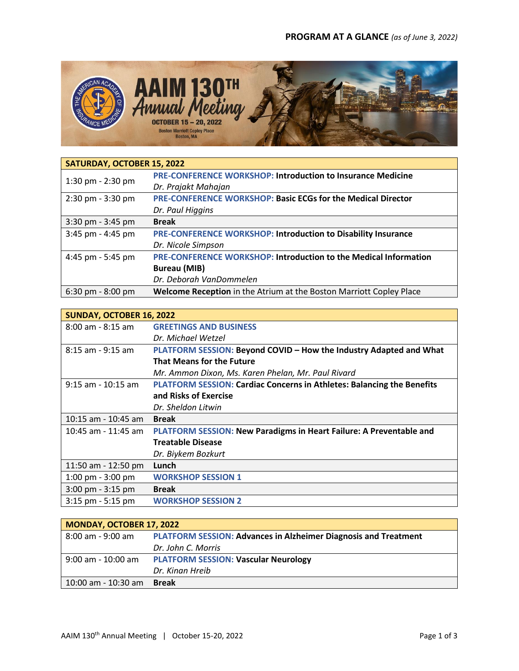

| SATURDAY, OCTOBER 15, 2022          |                                                                      |
|-------------------------------------|----------------------------------------------------------------------|
| 1:30 pm $-$ 2:30 pm                 | <b>PRE-CONFERENCE WORKSHOP: Introduction to Insurance Medicine</b>   |
|                                     | Dr. Prajakt Mahajan                                                  |
| 2:30 pm - 3:30 pm                   | <b>PRE-CONFERENCE WORKSHOP: Basic ECGs for the Medical Director</b>  |
|                                     | Dr. Paul Higgins                                                     |
| $3:30$ pm - $3:45$ pm               | <b>Break</b>                                                         |
| 3:45 pm - 4:45 pm                   | <b>PRE-CONFERENCE WORKSHOP: Introduction to Disability Insurance</b> |
|                                     | Dr. Nicole Simpson                                                   |
| 4:45 pm - 5:45 pm                   | PRE-CONFERENCE WORKSHOP: Introduction to the Medical Information     |
|                                     | <b>Bureau (MIB)</b>                                                  |
|                                     | Dr. Deborah VanDommelen                                              |
| $6:30 \text{ pm} - 8:00 \text{ pm}$ | Welcome Reception in the Atrium at the Boston Marriott Copley Place  |

| SUNDAY, OCTOBER 16, 2022            |                                                                        |
|-------------------------------------|------------------------------------------------------------------------|
| $8:00$ am - $8:15$ am               | <b>GREETINGS AND BUSINESS</b>                                          |
|                                     | Dr. Michael Wetzel                                                     |
| $8:15$ am - 9:15 am                 | PLATFORM SESSION: Beyond COVID - How the Industry Adapted and What     |
|                                     | <b>That Means for the Future</b>                                       |
|                                     | Mr. Ammon Dixon, Ms. Karen Phelan, Mr. Paul Rivard                     |
| $9:15$ am - 10:15 am                | PLATFORM SESSION: Cardiac Concerns in Athletes: Balancing the Benefits |
|                                     | and Risks of Exercise                                                  |
|                                     | Dr. Sheldon Litwin                                                     |
| $10:15$ am - $10:45$ am             | <b>Break</b>                                                           |
| $10:45$ am - 11:45 am               | PLATFORM SESSION: New Paradigms in Heart Failure: A Preventable and    |
|                                     | <b>Treatable Disease</b>                                               |
|                                     | Dr. Biykem Bozkurt                                                     |
| 11:50 am - 12:50 pm                 | Lunch                                                                  |
| $1:00 \text{ pm} - 3:00 \text{ pm}$ | <b>WORKSHOP SESSION 1</b>                                              |
| $3:00$ pm - $3:15$ pm               | <b>Break</b>                                                           |
| $3:15$ pm $-5:15$ pm                | <b>WORKSHOP SESSION 2</b>                                              |

| <b>MONDAY, OCTOBER 17, 2022</b> |                                                                        |
|---------------------------------|------------------------------------------------------------------------|
| 8:00 am - 9:00 am               | <b>PLATFORM SESSION: Advances in Alzheimer Diagnosis and Treatment</b> |
|                                 | Dr. John C. Morris                                                     |
| $9:00$ am - 10:00 am            | <b>PLATFORM SESSION: Vascular Neurology</b>                            |
|                                 | Dr. Kinan Hreib                                                        |
| 10:00 am - 10:30 am             | <b>Break</b>                                                           |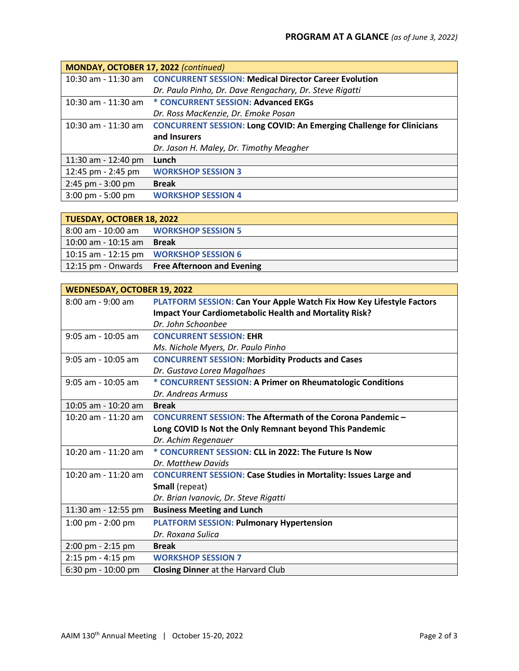| MONDAY, OCTOBER 17, 2022 (continued) |                                                                             |  |
|--------------------------------------|-----------------------------------------------------------------------------|--|
|                                      | 10:30 am - 11:30 am  CONCURRENT SESSION: Medical Director Career Evolution  |  |
|                                      | Dr. Paulo Pinho, Dr. Dave Rengachary, Dr. Steve Rigatti                     |  |
|                                      | 10:30 am - 11:30 am * CONCURRENT SESSION: Advanced EKGs                     |  |
|                                      | Dr. Ross MacKenzie, Dr. Emoke Posan                                         |  |
| 10:30 am - 11:30 am                  | <b>CONCURRENT SESSION: Long COVID: An Emerging Challenge for Clinicians</b> |  |
|                                      | and Insurers                                                                |  |
|                                      | Dr. Jason H. Maley, Dr. Timothy Meagher                                     |  |
| 11:30 am - 12:40 pm                  | Lunch                                                                       |  |
| 12:45 pm - 2:45 pm                   | <b>WORKSHOP SESSION 3</b>                                                   |  |
| 2:45 pm - 3:00 pm                    | <b>Break</b>                                                                |  |
| $3:00 \text{ pm} - 5:00 \text{ pm}$  | <b>WORKSHOP SESSION 4</b>                                                   |  |

| <b>TUESDAY, OCTOBER 18, 2022</b> |                                               |
|----------------------------------|-----------------------------------------------|
|                                  | 8:00 am - 10:00 am WORKSHOP SESSION 5         |
| 10:00 am - 10:15 am <b>Break</b> |                                               |
|                                  | 10:15 am - 12:15 pm <b>WORKSHOP SESSION 6</b> |
|                                  | 12:15 pm - Onwards Free Afternoon and Evening |

| <b>WEDNESDAY, OCTOBER 19, 2022</b> |                                                                        |
|------------------------------------|------------------------------------------------------------------------|
| 8:00 am - 9:00 am                  | PLATFORM SESSION: Can Your Apple Watch Fix How Key Lifestyle Factors   |
|                                    | <b>Impact Your Cardiometabolic Health and Mortality Risk?</b>          |
|                                    | Dr. John Schoonbee                                                     |
| 9:05 am - 10:05 am                 | <b>CONCURRENT SESSION: EHR</b>                                         |
|                                    | Ms. Nichole Myers, Dr. Paulo Pinho                                     |
| $9:05$ am - 10:05 am               | <b>CONCURRENT SESSION: Morbidity Products and Cases</b>                |
|                                    | Dr. Gustavo Lorea Magalhaes                                            |
| $9:05$ am - 10:05 am               | * CONCURRENT SESSION: A Primer on Rheumatologic Conditions             |
|                                    | Dr. Andreas Armuss                                                     |
| 10:05 am - 10:20 am                | <b>Break</b>                                                           |
| 10:20 am - 11:20 am                | CONCURRENT SESSION: The Aftermath of the Corona Pandemic -             |
|                                    | Long COVID Is Not the Only Remnant beyond This Pandemic                |
|                                    | Dr. Achim Regenauer                                                    |
| 10:20 am - 11:20 am                | * CONCURRENT SESSION: CLL in 2022: The Future Is Now                   |
|                                    | Dr. Matthew Davids                                                     |
| 10:20 am - 11:20 am                | <b>CONCURRENT SESSION: Case Studies in Mortality: Issues Large and</b> |
|                                    | Small (repeat)                                                         |
|                                    | Dr. Brian Ivanovic, Dr. Steve Rigatti                                  |
| 11:30 am - 12:55 pm                | <b>Business Meeting and Lunch</b>                                      |
| 1:00 pm - 2:00 pm                  | <b>PLATFORM SESSION: Pulmonary Hypertension</b>                        |
|                                    | Dr. Roxana Sulica                                                      |
| 2:00 pm - 2:15 pm                  | <b>Break</b>                                                           |
| 2:15 pm - 4:15 pm                  | <b>WORKSHOP SESSION 7</b>                                              |
| 6:30 pm - 10:00 pm                 | <b>Closing Dinner</b> at the Harvard Club                              |